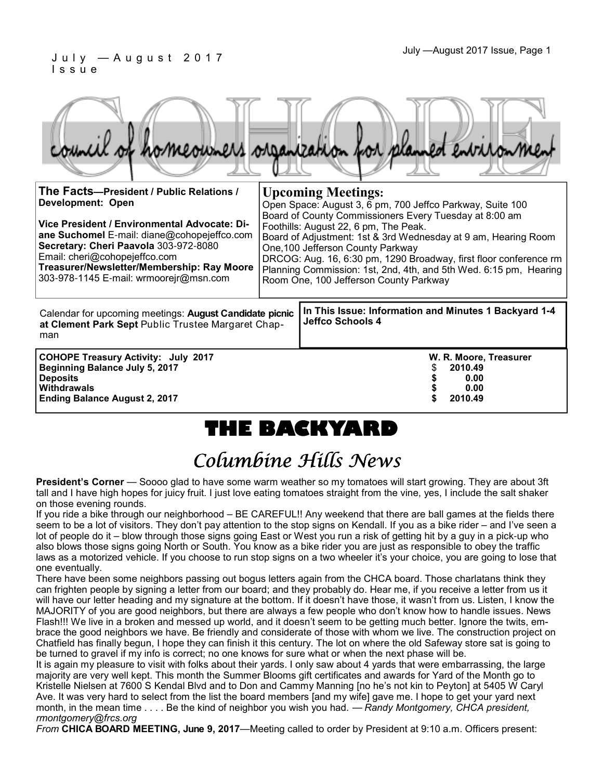| ouncil of homeowners organization for planned environmen                                                                                                                                                                                                                                                                              |                                                                                                                                                                                                                                                                                                                                                                                                                                                                                      |                                                                           |  |
|---------------------------------------------------------------------------------------------------------------------------------------------------------------------------------------------------------------------------------------------------------------------------------------------------------------------------------------|--------------------------------------------------------------------------------------------------------------------------------------------------------------------------------------------------------------------------------------------------------------------------------------------------------------------------------------------------------------------------------------------------------------------------------------------------------------------------------------|---------------------------------------------------------------------------|--|
| The Facts—President / Public Relations /<br><b>Development: Open</b><br>Vice President / Environmental Advocate: Di-<br>ane Suchomel E-mail: diane@cohopejeffco.com<br>Secretary: Cheri Paavola 303-972-8080<br>Email: cheri@cohopejeffco.com<br>Treasurer/Newsletter/Membership: Ray Moore<br>303-978-1145 E-mail: wrmoorejr@msn.com | <b>Upcoming Meetings:</b><br>Open Space: August 3, 6 pm, 700 Jeffco Parkway, Suite 100<br>Board of County Commissioners Every Tuesday at 8:00 am<br>Foothills: August 22, 6 pm, The Peak.<br>Board of Adjustment: 1st & 3rd Wednesday at 9 am, Hearing Room<br>One, 100 Jefferson County Parkway<br>DRCOG: Aug. 16, 6:30 pm, 1290 Broadway, first floor conference rm<br>Planning Commission: 1st, 2nd, 4th, and 5th Wed. 6:15 pm, Hearing<br>Room One, 100 Jefferson County Parkway |                                                                           |  |
| Calendar for upcoming meetings: August Candidate picnic<br>at Clement Park Sept Public Trustee Margaret Chap-<br>man                                                                                                                                                                                                                  |                                                                                                                                                                                                                                                                                                                                                                                                                                                                                      | In This Issue: Information and Minutes 1 Backyard 1-4<br>Jeffco Schools 4 |  |
| <b>COHOPE Treasury Activity: July 2017</b><br><b>Beginning Balance July 5, 2017</b><br><b>Deposits</b><br>Withdrawals                                                                                                                                                                                                                 |                                                                                                                                                                                                                                                                                                                                                                                                                                                                                      | W. R. Moore, Treasurer<br>2010.49<br>0.00<br>0.00                         |  |

**Ending Balance August 2, 2017 \$ 2010.49**

# **THE BACKYARD**

# Columbine Hills News

**President's Corner** — Soooo glad to have some warm weather so my tomatoes will start growing. They are about 3ft tall and I have high hopes for juicy fruit. I just love eating tomatoes straight from the vine, yes, I include the salt shaker on those evening rounds.

If you ride a bike through our neighborhood – BE CAREFUL!! Any weekend that there are ball games at the fields there seem to be a lot of visitors. They don't pay attention to the stop signs on Kendall. If you as a bike rider – and I've seen a lot of people do it – blow through those signs going East or West you run a risk of getting hit by a guy in a pick-up who also blows those signs going North or South. You know as a bike rider you are just as responsible to obey the traffic laws as a motorized vehicle. If you choose to run stop signs on a two wheeler it's your choice, you are going to lose that one eventually.

There have been some neighbors passing out bogus letters again from the CHCA board. Those charlatans think they can frighten people by signing a letter from our board; and they probably do. Hear me, if you receive a letter from us it will have our letter heading and my signature at the bottom. If it doesn't have those, it wasn't from us. Listen, I know the MAJORITY of you are good neighbors, but there are always a few people who don't know how to handle issues. News Flash!!! We live in a broken and messed up world, and it doesn't seem to be getting much better. Ignore the twits, embrace the good neighbors we have. Be friendly and considerate of those with whom we live. The construction project on Chatfield has finally begun, I hope they can finish it this century. The lot on where the old Safeway store sat is going to be turned to gravel if my info is correct; no one knows for sure what or when the next phase will be.

It is again my pleasure to visit with folks about their yards. I only saw about 4 yards that were embarrassing, the large majority are very well kept. This month the Summer Blooms gift certificates and awards for Yard of the Month go to Kristelle Nielsen at 7600 S Kendal Blvd and to Don and Cammy Manning [no he's not kin to Peyton] at 5405 W Caryl Ave. It was very hard to select from the list the board members [and my wife] gave me. I hope to get your yard next month, in the mean time . . . . Be the kind of neighbor you wish you had. — *Randy Montgomery, CHCA president, rmontgomery@frcs.org*

*From* **CHICA BOARD MEETING, June 9, 2017**—Meeting called to order by President at 9:10 a.m. Officers present: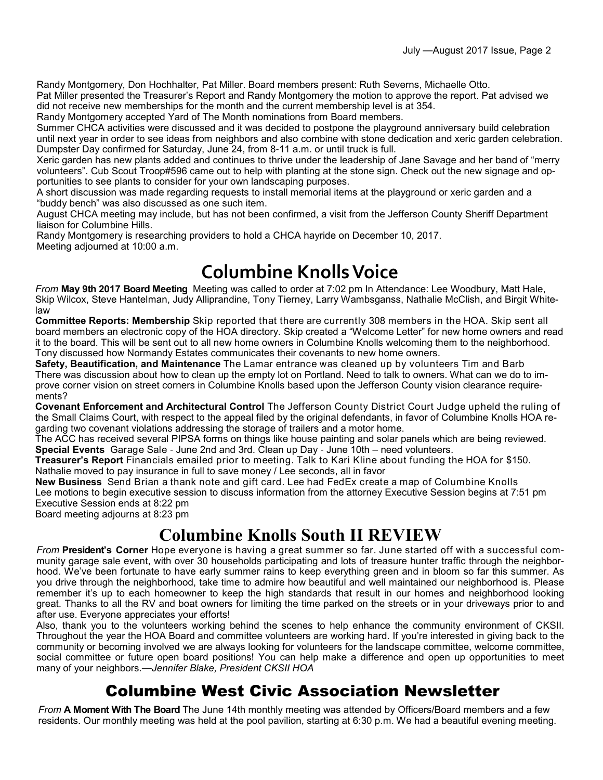Randy Montgomery, Don Hochhalter, Pat Miller. Board members present: Ruth Severns, Michaelle Otto.

Pat Miller presented the Treasurer's Report and Randy Montgomery the motion to approve the report. Pat advised we did not receive new memberships for the month and the current membership level is at 354.

Randy Montgomery accepted Yard of The Month nominations from Board members.

Summer CHCA activities were discussed and it was decided to postpone the playground anniversary build celebration until next year in order to see ideas from neighbors and also combine with stone dedication and xeric garden celebration. Dumpster Day confirmed for Saturday, June 24, from 8-11 a.m. or until truck is full.

Xeric garden has new plants added and continues to thrive under the leadership of Jane Savage and her band of "merry volunteers". Cub Scout Troop#596 came out to help with planting at the stone sign. Check out the new signage and opportunities to see plants to consider for your own landscaping purposes.

A short discussion was made regarding requests to install memorial items at the playground or xeric garden and a "buddy bench" was also discussed as one such item.

August CHCA meeting may include, but has not been confirmed, a visit from the Jefferson County Sheriff Department liaison for Columbine Hills.

Randy Montgomery is researching providers to hold a CHCA hayride on December 10, 2017. Meeting adjourned at 10:00 a.m.

# **Columbine Knolls Voice**

*From* **May 9th 2017 Board Meeting** Meeting was called to order at 7:02 pm In Attendance: Lee Woodbury, Matt Hale, Skip Wilcox, Steve Hantelman, Judy Alliprandine, Tony Tierney, Larry Wambsganss, Nathalie McClish, and Birgit Whitelaw

**Committee Reports: Membership** Skip reported that there are currently 308 members in the HOA. Skip sent all board members an electronic copy of the HOA directory. Skip created a "Welcome Letter" for new home owners and read it to the board. This will be sent out to all new home owners in Columbine Knolls welcoming them to the neighborhood. Tony discussed how Normandy Estates communicates their covenants to new home owners.

**Safety, Beautification, and Maintenance** The Lamar entrance was cleaned up by volunteers Tim and Barb There was discussion about how to clean up the empty lot on Portland. Need to talk to owners. What can we do to improve corner vision on street corners in Columbine Knolls based upon the Jefferson County vision clearance requirements?

**Covenant Enforcement and Architectural Control** The Jefferson County District Court Judge upheld the ruling of the Small Claims Court, with respect to the appeal filed by the original defendants, in favor of Columbine Knolls HOA regarding two covenant violations addressing the storage of trailers and a motor home.

The ACC has received several PIPSA forms on things like house painting and solar panels which are being reviewed. **Special Events** Garage Sale - June 2nd and 3rd. Clean up Day - June 10th – need volunteers.

**Treasurer's Report** Financials emailed prior to meeting. Talk to Kari Kline about funding the HOA for \$150. Nathalie moved to pay insurance in full to save money / Lee seconds, all in favor

**New Business** Send Brian a thank note and gift card. Lee had FedEx create a map of Columbine Knolls Lee motions to begin executive session to discuss information from the attorney Executive Session begins at 7:51 pm Executive Session ends at 8:22 pm

Board meeting adjourns at 8:23 pm

## **Columbine Knolls South II REVIEW**

*From* **President's Corner** Hope everyone is having a great summer so far. June started off with a successful community garage sale event, with over 30 households participating and lots of treasure hunter traffic through the neighborhood. We've been fortunate to have early summer rains to keep everything green and in bloom so far this summer. As you drive through the neighborhood, take time to admire how beautiful and well maintained our neighborhood is. Please remember it's up to each homeowner to keep the high standards that result in our homes and neighborhood looking great. Thanks to all the RV and boat owners for limiting the time parked on the streets or in your driveways prior to and after use. Everyone appreciates your efforts!

Also, thank you to the volunteers working behind the scenes to help enhance the community environment of CKSII. Throughout the year the HOA Board and committee volunteers are working hard. If you're interested in giving back to the community or becoming involved we are always looking for volunteers for the landscape committee, welcome committee, social committee or future open board positions! You can help make a difference and open up opportunities to meet many of your neighbors.—*Jennifer Blake, President CKSII HOA*

### Columbine West Civic Association Newsletter

*From* **A Moment With The Board** The June 14th monthly meeting was attended by Officers/Board members and a few residents. Our monthly meeting was held at the pool pavilion, starting at 6:30 p.m. We had a beautiful evening meeting.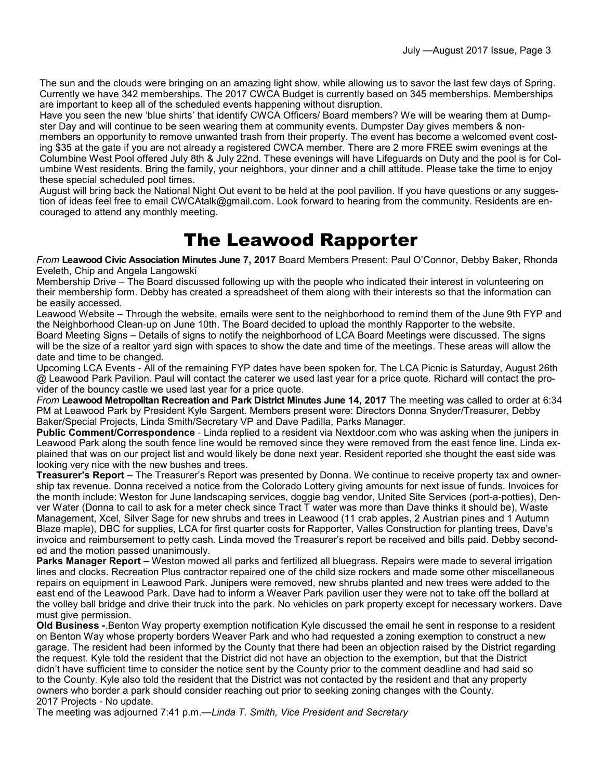The sun and the clouds were bringing on an amazing light show, while allowing us to savor the last few days of Spring. Currently we have 342 memberships. The 2017 CWCA Budget is currently based on 345 memberships. Memberships are important to keep all of the scheduled events happening without disruption.

Have you seen the new 'blue shirts' that identify CWCA Officers/ Board members? We will be wearing them at Dumpster Day and will continue to be seen wearing them at community events. Dumpster Day gives members & nonmembers an opportunity to remove unwanted trash from their property. The event has become a welcomed event costing \$35 at the gate if you are not already a registered CWCA member. There are 2 more FREE swim evenings at the Columbine West Pool offered July 8th & July 22nd. These evenings will have Lifeguards on Duty and the pool is for Columbine West residents. Bring the family, your neighbors, your dinner and a chill attitude. Please take the time to enjoy these special scheduled pool times.

August will bring back the National Night Out event to be held at the pool pavilion. If you have questions or any suggestion of ideas feel free to email CWCAtalk@gmail.com. Look forward to hearing from the community. Residents are encouraged to attend any monthly meeting.

## The Leawood Rapporter

*From* **Leawood Civic Association Minutes June 7, 2017** Board Members Present: Paul O'Connor, Debby Baker, Rhonda Eveleth, Chip and Angela Langowski

Membership Drive – The Board discussed following up with the people who indicated their interest in volunteering on their membership form. Debby has created a spreadsheet of them along with their interests so that the information can be easily accessed.

Leawood Website – Through the website, emails were sent to the neighborhood to remind them of the June 9th FYP and the Neighborhood Clean-up on June 10th. The Board decided to upload the monthly Rapporter to the website. Board Meeting Signs – Details of signs to notify the neighborhood of LCA Board Meetings were discussed. The signs will be the size of a realtor yard sign with spaces to show the date and time of the meetings. These areas will allow the date and time to be changed.

Upcoming LCA Events - All of the remaining FYP dates have been spoken for. The LCA Picnic is Saturday, August 26th @ Leawood Park Pavilion. Paul will contact the caterer we used last year for a price quote. Richard will contact the provider of the bouncy castle we used last year for a price quote.

*From* **Leawood Metropolitan Recreation and Park District Minutes June 14, 2017** The meeting was called to order at 6:34 PM at Leawood Park by President Kyle Sargent. Members present were: Directors Donna Snyder/Treasurer, Debby Baker/Special Projects, Linda Smith/Secretary VP and Dave Padilla, Parks Manager.

**Public Comment/Correspondence** - Linda replied to a resident via Nextdoor.com who was asking when the junipers in Leawood Park along the south fence line would be removed since they were removed from the east fence line. Linda explained that was on our project list and would likely be done next year. Resident reported she thought the east side was looking very nice with the new bushes and trees.

**Treasurer's Report** – The Treasurer's Report was presented by Donna. We continue to receive property tax and ownership tax revenue. Donna received a notice from the Colorado Lottery giving amounts for next issue of funds. Invoices for the month include: Weston for June landscaping services, doggie bag vendor, United Site Services (port-a-potties), Denver Water (Donna to call to ask for a meter check since Tract T water was more than Dave thinks it should be), Waste Management, Xcel, Silver Sage for new shrubs and trees in Leawood (11 crab apples, 2 Austrian pines and 1 Autumn Blaze maple), DBC for supplies, LCA for first quarter costs for Rapporter, Valles Construction for planting trees, Dave's invoice and reimbursement to petty cash. Linda moved the Treasurer's report be received and bills paid. Debby seconded and the motion passed unanimously.

**Parks Manager Report** – Weston mowed all parks and fertilized all bluegrass. Repairs were made to several irrigation lines and clocks. Recreation Plus contractor repaired one of the child size rockers and made some other miscellaneous repairs on equipment in Leawood Park. Junipers were removed, new shrubs planted and new trees were added to the east end of the Leawood Park. Dave had to inform a Weaver Park pavilion user they were not to take off the bollard at the volley ball bridge and drive their truck into the park. No vehicles on park property except for necessary workers. Dave must give permission.

**Old Business -**.Benton Way property exemption notification Kyle discussed the email he sent in response to a resident on Benton Way whose property borders Weaver Park and who had requested a zoning exemption to construct a new garage. The resident had been informed by the County that there had been an objection raised by the District regarding the request. Kyle told the resident that the District did not have an objection to the exemption, but that the District didn't have sufficient time to consider the notice sent by the County prior to the comment deadline and had said so to the County. Kyle also told the resident that the District was not contacted by the resident and that any property owners who border a park should consider reaching out prior to seeking zoning changes with the County. 2017 Projects - No update.

The meeting was adjourned 7:41 p.m.—*Linda T. Smith, Vice President and Secretary*